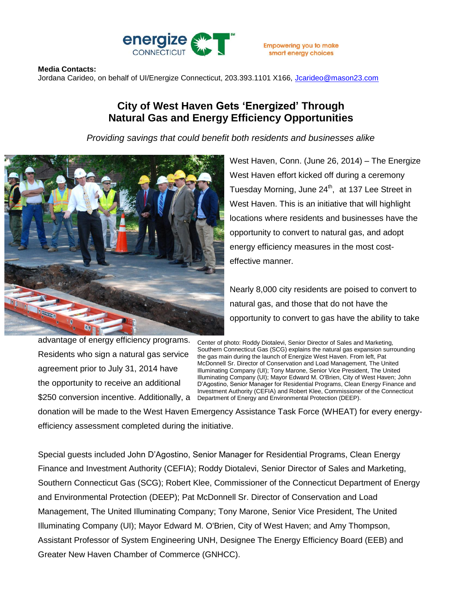

## **Media Contacts:**

Jordana Carideo, on behalf of UI/Energize Connecticut, 203.393.1101 X166, [Jcarideo@mason23.com](mailto:Jcarideo@mason23.com)

## **City of West Haven Gets 'Energized' Through Natural Gas and Energy Efficiency Opportunities**

*Providing savings that could benefit both residents and businesses alike*



West Haven, Conn. (June 26, 2014) – The Energize West Haven effort kicked off during a ceremony Tuesday Morning, June 24<sup>th</sup>, at 137 Lee Street in West Haven. This is an initiative that will highlight locations where residents and businesses have the opportunity to convert to natural gas, and adopt energy efficiency measures in the most costeffective manner.

Nearly 8,000 city residents are poised to convert to natural gas, and those that do not have the opportunity to convert to gas have the ability to take

advantage of energy efficiency programs. Residents who sign a natural gas service agreement prior to July 31, 2014 have the opportunity to receive an additional

Center of photo: Roddy Diotalevi, Senior Director of Sales and Marketing, Southern Connecticut Gas (SCG) explains the natural gas expansion surrounding the gas main during the launch of Energize West Haven. From left, Pat McDonnell Sr. Director of Conservation and Load Management, The United Illuminating Company (UI); Tony Marone, Senior Vice President, The United Illuminating Company (UI); Mayor Edward M. O'Brien, City of West Haven; John D'Agostino, Senior Manager for Residential Programs, Clean Energy Finance and Investment Authority (CEFIA) and Robert Klee, Commissioner of the Connecticut \$250 conversion incentive. Additionally, a Department of Energy and Environmental Protection (DEEP).

donation will be made to the West Haven Emergency Assistance Task Force (WHEAT) for every energyefficiency assessment completed during the initiative.

Special guests included John D'Agostino, Senior Manager for Residential Programs, Clean Energy Finance and Investment Authority (CEFIA); Roddy Diotalevi, Senior Director of Sales and Marketing, Southern Connecticut Gas (SCG); Robert Klee, Commissioner of the Connecticut Department of Energy and Environmental Protection (DEEP); Pat McDonnell Sr. Director of Conservation and Load Management, The United Illuminating Company; Tony Marone, Senior Vice President, The United Illuminating Company (UI); Mayor Edward M. O'Brien, City of West Haven; and Amy Thompson, Assistant Professor of System Engineering UNH, Designee The Energy Efficiency Board (EEB) and Greater New Haven Chamber of Commerce (GNHCC).